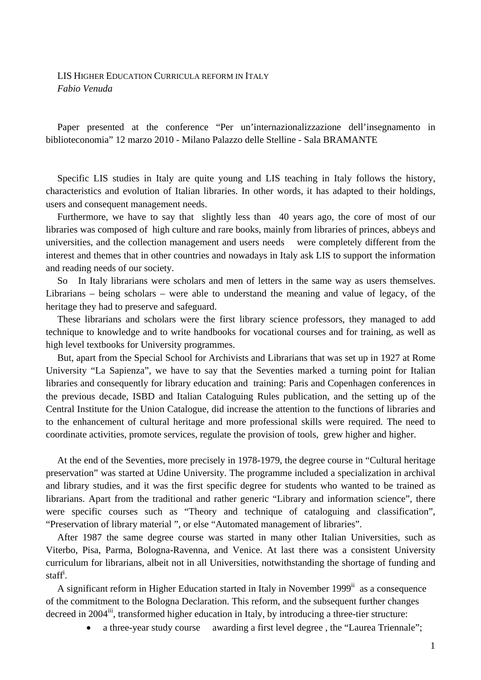## LIS HIGHER EDUCATION CURRICULA REFORM IN ITALY *Fabio Venuda*

Paper presented at the conference "Per un'internazionalizzazione dell'insegnamento in biblioteconomia" 12 marzo 2010 - Milano Palazzo delle Stelline - Sala BRAMANTE

Specific LIS studies in Italy are quite young and LIS teaching in Italy follows the history, characteristics and evolution of Italian libraries. In other words, it has adapted to their holdings, users and consequent management needs.

Furthermore, we have to say that slightly less than 40 years ago, the core of most of our libraries was composed of high culture and rare books, mainly from libraries of princes, abbeys and universities, and the collection management and users needs were completely different from the interest and themes that in other countries and nowadays in Italy ask LIS to support the information and reading needs of our society.

So In Italy librarians were scholars and men of letters in the same way as users themselves. Librarians – being scholars – were able to understand the meaning and value of legacy, of the heritage they had to preserve and safeguard.

These librarians and scholars were the first library science professors, they managed to add technique to knowledge and to write handbooks for vocational courses and for training, as well as high level textbooks for University programmes.

But, apart from the Special School for Archivists and Librarians that was set up in 1927 at Rome University "La Sapienza", we have to say that the Seventies marked a turning point for Italian libraries and consequently for library education and training: Paris and Copenhagen conferences in the previous decade, ISBD and Italian Cataloguing Rules publication, and the setting up of the Central Institute for the Union Catalogue, did increase the attention to the functions of libraries and to the enhancement of cultural heritage and more professional skills were required. The need to coordinate activities, promote services, regulate the provision of tools, grew higher and higher.

At the end of the Seventies, more precisely in 1978-1979, the degree course in "Cultural heritage preservation" was started at Udine University. The programme included a specialization in archival and library studies, and it was the first specific degree for students who wanted to be trained as librarians. Apart from the traditional and rather generic "Library and information science", there were specific courses such as "Theory and technique of cataloguing and classification", "Preservation of library material ", or else "Automated management of libraries".

After 1987 the same degree course was started in many other Italian Universities, such as Viterbo, Pisa, Parma, Bologna-Ravenna, and Venice. At last there was a consistent University curriculum for librarians, albeit not in all Universities, notwithstanding the shortage of funding and staffi .

A significant reform in Higher Education started in Italy in November 1999<sup>ii</sup> as a consequence of the commitment to the Bologna Declaration. This reform, and the subsequent further changes decreed in  $2004$ <sup>iii</sup>, transformed higher education in Italy, by introducing a three-tier structure:

a three-year study course awarding a first level degree , the "Laurea Triennale";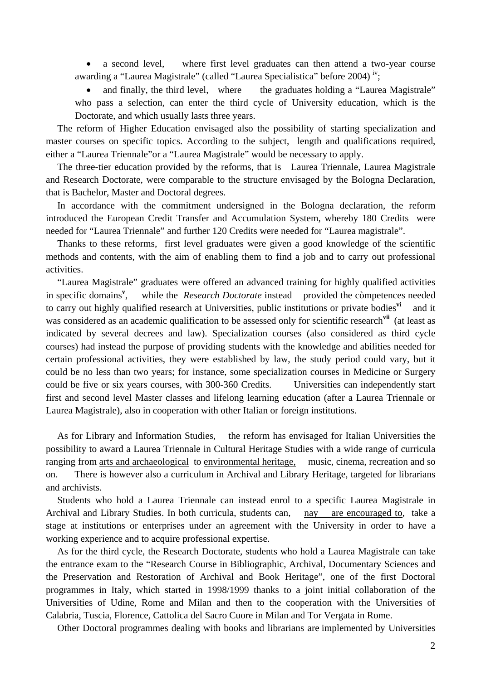• a second level, where first level graduates can then attend a two-year course awarding a "Laurea Magistrale" (called "Laurea Specialistica" before 2004)<sup>iv</sup>;

• and finally, the third level, where the graduates holding a "Laurea Magistrale" who pass a selection, can enter the third cycle of University education, which is the Doctorate, and which usually lasts three years.

The reform of Higher Education envisaged also the possibility of starting specialization and master courses on specific topics. According to the subject, length and qualifications required, either a "Laurea Triennale"or a "Laurea Magistrale" would be necessary to apply.

The three-tier education provided by the reforms, that is Laurea Triennale, Laurea Magistrale and Research Doctorate, were comparable to the structure envisaged by the Bologna Declaration, that is Bachelor, Master and Doctoral degrees.

In accordance with the commitment undersigned in the Bologna declaration, the reform introduced the European Credit Transfer and Accumulation System, whereby 180 Credits were needed for "Laurea Triennale" and further 120 Credits were needed for "Laurea magistrale".

Thanks to these reforms, first level graduates were given a good knowledge of the scientific methods and contents, with the aim of enabling them to find a job and to carry out professional activities.

"Laurea Magistrale" graduates were offered an advanced training for highly qualified activities in specific domains**<sup>v</sup>** while the *Research Doctorate* instead provided the còmpetences needed to carry out highly qualified research at Universities, public institutions or private bodies**vi** and it was considered as an academic qualification to be assessed only for scientific research**vii** (at least as indicated by several decrees and law). Specialization courses (also considered as third cycle courses) had instead the purpose of providing students with the knowledge and abilities needed for certain professional activities, they were established by law, the study period could vary, but it could be no less than two years; for instance, some specialization courses in Medicine or Surgery could be five or six years courses, with 300-360 Credits. Universities can independently start first and second level Master classes and lifelong learning education (after a Laurea Triennale or Laurea Magistrale), also in cooperation with other Italian or foreign institutions.

As for Library and Information Studies, the reform has envisaged for Italian Universities the possibility to award a Laurea Triennale in Cultural Heritage Studies with a wide range of curricula ranging from arts and archaeological to environmental heritage, music, cinema, recreation and so on. There is however also a curriculum in Archival and Library Heritage, targeted for librarians and archivists.

Students who hold a Laurea Triennale can instead enrol to a specific Laurea Magistrale in Archival and Library Studies. In both curricula, students can, nay are encouraged to, take a stage at institutions or enterprises under an agreement with the University in order to have a working experience and to acquire professional expertise.

As for the third cycle, the Research Doctorate, students who hold a Laurea Magistrale can take the entrance exam to the "Research Course in Bibliographic, Archival, Documentary Sciences and the Preservation and Restoration of Archival and Book Heritage", one of the first Doctoral programmes in Italy, which started in 1998/1999 thanks to a joint initial collaboration of the Universities of Udine, Rome and Milan and then to the cooperation with the Universities of Calabria, Tuscia, Florence, Cattolica del Sacro Cuore in Milan and Tor Vergata in Rome.

Other Doctoral programmes dealing with books and librarians are implemented by Universities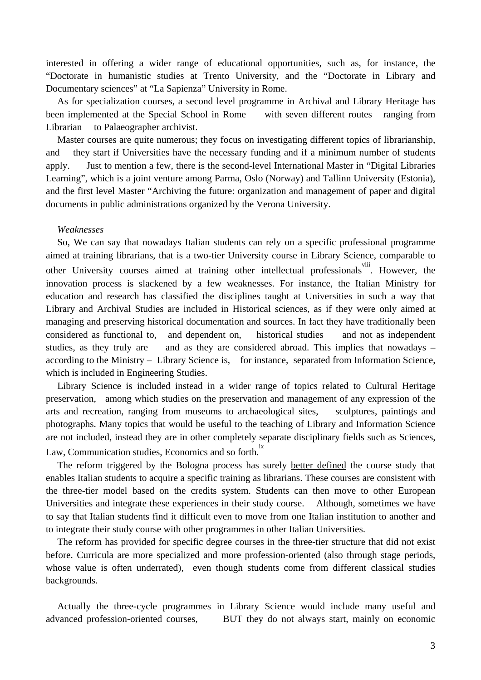interested in offering a wider range of educational opportunities, such as, for instance, the "Doctorate in humanistic studies at Trento University, and the "Doctorate in Library and Documentary sciences" at "La Sapienza" University in Rome.

As for specialization courses, a second level programme in Archival and Library Heritage has been implemented at the Special School in Rome with seven different routes ranging from Librarian to Palaeographer archivist.

Master courses are quite numerous; they focus on investigating different topics of librarianship, and they start if Universities have the necessary funding and if a minimum number of students apply. Just to mention a few, there is the second-level International Master in "Digital Libraries Learning", which is a joint venture among Parma, Oslo (Norway) and Tallinn University (Estonia), and the first level Master "Archiving the future: organization and management of paper and digital documents in public administrations organized by the Verona University.

## *Weaknesses*

So, We can say that nowadays Italian students can rely on a specific professional programme aimed at training librarians, that is a two-tier University course in Library Science, comparable to other University courses aimed at training other intellectual professionals in However, the innovation process is slackened by a few weaknesses. For instance, the Italian Ministry for education and research has classified the disciplines taught at Universities in such a way that Library and Archival Studies are included in Historical sciences, as if they were only aimed at managing and preserving historical documentation and sources. In fact they have traditionally been considered as functional to, and dependent on, historical studies and not as independent studies, as they truly are and as they are considered abroad. This implies that nowadays – according to the Ministry – Library Science is, for instance, separated from Information Science, which is included in Engineering Studies.

Library Science is included instead in a wider range of topics related to Cultural Heritage preservation, among which studies on the preservation and management of any expression of the arts and recreation, ranging from museums to archaeological sites, sculptures, paintings and photographs. Many topics that would be useful to the teaching of Library and Information Science are not included, instead they are in other completely separate disciplinary fields such as Sciences, Law, Communication studies, Economics and so forth.<sup>ix</sup>

The reform triggered by the Bologna process has surely better defined the course study that enables Italian students to acquire a specific training as librarians. These courses are consistent with the three-tier model based on the credits system. Students can then move to other European Universities and integrate these experiences in their study course. Although, sometimes we have to say that Italian students find it difficult even to move from one Italian institution to another and to integrate their study course with other programmes in other Italian Universities.

The reform has provided for specific degree courses in the three-tier structure that did not exist before. Curricula are more specialized and more profession-oriented (also through stage periods, whose value is often underrated), even though students come from different classical studies backgrounds.

Actually the three-cycle programmes in Library Science would include many useful and advanced profession-oriented courses, BUT they do not always start, mainly on economic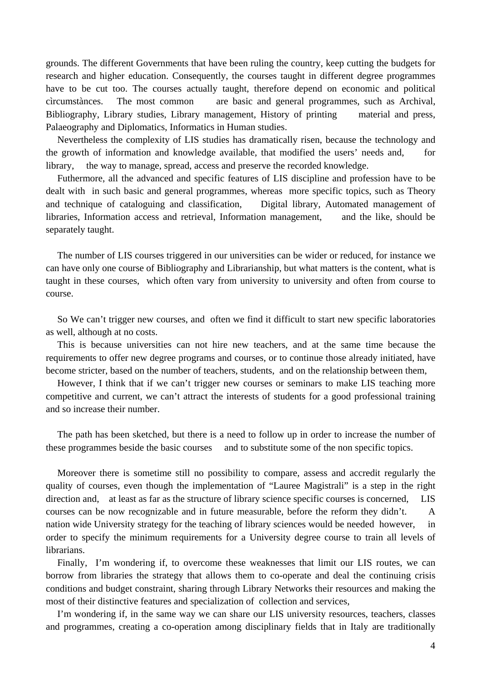grounds. The different Governments that have been ruling the country, keep cutting the budgets for research and higher education. Consequently, the courses taught in different degree programmes have to be cut too. The courses actually taught, therefore depend on economic and political cìrcumstànces. The most common are basic and general programmes, such as Archival, Bibliography, Library studies, Library management, History of printing material and press, Palaeography and Diplomatics, Informatics in Human studies.

Nevertheless the complexity of LIS studies has dramatically risen, because the technology and the growth of information and knowledge available, that modified the users' needs and, for library, the way to manage, spread, access and preserve the recorded knowledge.

Futhermore, all the advanced and specific features of LIS discipline and profession have to be dealt with in such basic and general programmes, whereas more specific topics, such as Theory and technique of cataloguing and classification, Digital library, Automated management of libraries, Information access and retrieval, Information management, and the like, should be separately taught.

The number of LIS courses triggered in our universities can be wider or reduced, for instance we can have only one course of Bibliography and Librarianship, but what matters is the content, what is taught in these courses, which often vary from university to university and often from course to course.

So We can't trigger new courses, and often we find it difficult to start new specific laboratories as well, although at no costs.

This is because universities can not hire new teachers, and at the same time because the requirements to offer new degree programs and courses, or to continue those already initiated, have become stricter, based on the number of teachers, students, and on the relationship between them,

However, I think that if we can't trigger new courses or seminars to make LIS teaching more competitive and current, we can't attract the interests of students for a good professional training and so increase their number.

The path has been sketched, but there is a need to follow up in order to increase the number of these programmes beside the basic courses and to substitute some of the non specific topics.

Moreover there is sometime still no possibility to compare, assess and accredit regularly the quality of courses, even though the implementation of "Lauree Magistrali" is a step in the right direction and, at least as far as the structure of library science specific courses is concerned, LIS courses can be now recognizable and in future measurable, before the reform they didn't. A nation wide University strategy for the teaching of library sciences would be needed however, in order to specify the minimum requirements for a University degree course to train all levels of librarians.

Finally, I'm wondering if, to overcome these weaknesses that limit our LIS routes, we can borrow from libraries the strategy that allows them to co-operate and deal the continuing crisis conditions and budget constraint, sharing through Library Networks their resources and making the most of their distinctive features and specialization of collection and services,

I'm wondering if, in the same way we can share our LIS university resources, teachers, classes and programmes, creating a co-operation among disciplinary fields that in Italy are traditionally